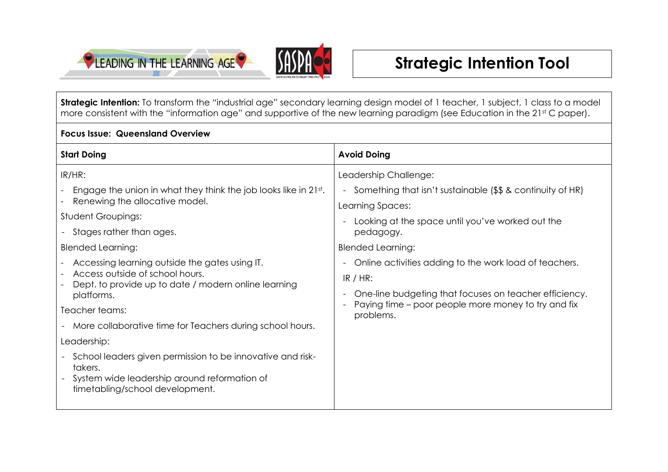



**Strategic Intention:** To transform the "industrial age" secondary learning design model of 1 teacher, 1 subject, 1 class to a model more consistent with the "information age" and supportive of the new learning paradigm (see Education in the 21st C paper).

## **Focus Issue: Queensland Overview**

| <b>Start Doing</b>                                                                                                                                                                                                                                                                                                                                                                                                                                                                                                                                                                                                          | <b>Avoid Doing</b>                                                                                                                                                                                                                                                                                                                                                                                            |
|-----------------------------------------------------------------------------------------------------------------------------------------------------------------------------------------------------------------------------------------------------------------------------------------------------------------------------------------------------------------------------------------------------------------------------------------------------------------------------------------------------------------------------------------------------------------------------------------------------------------------------|---------------------------------------------------------------------------------------------------------------------------------------------------------------------------------------------------------------------------------------------------------------------------------------------------------------------------------------------------------------------------------------------------------------|
| IR/HR:<br>Engage the union in what they think the job looks like in 21st.<br>Renewing the allocative model.<br><b>Student Groupings:</b><br>- Stages rather than ages.<br><b>Blended Learning:</b><br>Accessing learning outside the gates using IT.<br>Access outside of school hours.<br>Dept. to provide up to date / modern online learning<br>platforms.<br>Teacher teams:<br>- More collaborative time for Teachers during school hours.<br>Leadership:<br>- School leaders given permission to be innovative and risk-<br>takers.<br>System wide leadership around reformation of<br>timetabling/school development. | Leadership Challenge:<br>- Something that isn't sustainable (\$\$ & continuity of HR)<br>Learning Spaces:<br>Looking at the space until you've worked out the<br>pedagogy.<br><b>Blended Learning:</b><br>Online activities adding to the work load of teachers.<br>$IR / HR$ :<br>One-line budgeting that focuses on teacher efficiency.<br>Paying time – poor people more money to try and fix<br>problems. |